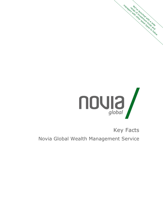

# Key Facts

management in the strip of the strip of the strip of the form of the strip of the form of the strip of the form

Novia Global Wealth Management Service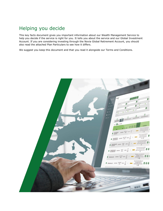# Helping you decide

This key facts document gives you important information about our Wealth Management Service to help you decide if the service is right for you. It tells you about the service and our Global Investment Account. If you are considering investing through the Novia Global Retirement Account, you should also read the attached Plan Particulars to see how it differs.

We suggest you keep this document and that you read it alongside our Terms and Conditions.

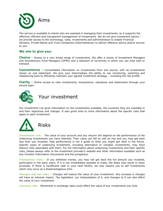

The service is available to clients who are assisted in managing their investments, as it supports the effective, efficient and transparent management of investments. We do not give investment advice – we provide access to the technology, tools, investments and administration to enable Financial Advisers, Private Banks and Trust Companies (Intermediaries) to deliver effective advice and/or service to you.

# **We aim to give you:**

**Choice -** Access to a very broad range of investments. We offer a choice of Investment Managers and Discretionary Fund Managers (DFMs) and a selection of currencies in which you can hold cash or transact.

**Convenience -** Consolidated information on investments from one source, with all investments shown on one statement. We give your Intermediary the ability to use monitoring, switching and rebalancing tools to efficiently maintain your agreed investment strategy – including the risk profile.

**Clarity -** Online access to view investments, transactions, valuations and statements through your secure login.



Our Investment List gives information on the investments available, the countries they are available in and their objectives and charges. It also gives links to more information about the specific risks that apply to each investment.



**Investment risk –** The value of your account and any returns will depend on the performance of the underlying investments you have selected. Their value can fall as well as rise and you may get back less than you invested. Past performance is not a guide to what you might get back in the future. Specific types of underlying investment, including alternative or complex investments, may have distinct risks associated with them. For full information about underlying investments and their specific risks, please always refer to the investment provider's website and other information available such as Key Investor Information Documents and the prospectus.

**Transaction risks –** If you withdraw money, you may not get back the full amount you invested, particularly in the early years. If it is not immediately possible to trade, the delay may result in lower proceeds. If there is insufficient cash in your cash facility, we may require you to sell investments which may occur at a disadvantageous time.

**Charges and tax risks –** Charges will reduce the value of your investment. Any increase in charges will have an adverse impact. Tax legislation, our interpretation of it, and changes to it can also affect the value of your investment.

**Currency risk –** Movement in exchange rates could affect the value of any investments you hold.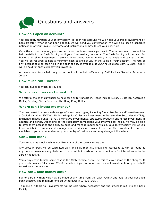

# **How do I open an account?**

You can apply through your Intermediary. To open the account we will need your initial investment by bank transfer. When it has been opened, we will send you confirmation. We will also issue a separate notification of your unique username and instructions on how to set your password.

Once the account is open, you can decide on the investments you want. The money sent to us will be held initially in the Cash Facility until your Intermediary moves it. The Cash Facility will be used for buying and selling investments, receiving investment income, making withdrawals and paying charges. You will be required to hold a minimum cash balance of 2% of the value of your account. The rate of any interest paid on cash held in the cash facility is available at www.novia-global.com. A Cash Facility will be held for each currency you invest in.

All investment funds held in your account will be held offshore by BNP Paribas Security Services - Jersey.

### **How much can I invest?**

You can invest as much as you like.

### **What currencies can I invest in?**

We offer a choice of currencies to hold cash or to transact in. These include Euros, US Dollar, Australian Dollar, Sterling, Swiss Franc and the Hong Kong Dollar.

#### **Where can I invest my money?**

You can invest in a very wide range of investment types, including funds like Societe d'Investissement a Capital Variable (SICAVs), Undertakings for Collective Investment in Transferable Securities (UCITS), Exchange Traded Funds (ETFs), alternative investments, structured products and direct investment in equities and bonds. Depending on the regulatory permissions your intermediary holds, we may be able to offer them access to the ability to build and manage model portfolios. Your Intermediary will let you know which investments and management services are available to you. The investments that are available to you are dependent on your country of residency and may change if this alters.

## **Can I hold cash?**

You can hold as much cash as you like in any of the currencies we offer.

Any gross interest will be calculated daily and paid monthly. Prevailing interest rates can be found at any time on [www.novia-global.com](http://www.novia-global.com/). It is possible in certain market conditions for interest rates to be zero or negative.

You always have to hold some cash in the Cash Facility, as we use this to cover some of the charges. If your cash balance falls below 2% of the value of your account, we may sell investments on your behalf to maintain the balance.

#### **How can I take money out?\***

Full or partial withdrawals may be made at any time from the Cash Facility and paid to your specified bank account. The minimum one-off withdrawal is \$1,000 (USD).

To make a withdrawal, investments will be sold where necessary and the proceeds put into the Cash Facility.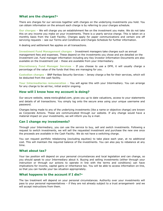# **What are the charges?\***

There are charges for our services together with charges on the underlying investments you hold. You can obtain information on the amount each charge is by referring to your charges schedule.

**Our charges –** We will charge you an establishment fee on the investment you make. We do not take this on any income you make on your investments. There is a yearly service charge. This is taken on a monthly basis from the Cash Facility. Charges apply for paper communications and certain one off servicing requests – see our Terms and Conditions and Charges Schedule for further information.

A dealing and settlement fee applies on all transactions.

**Investment Fund Management charges –** Investment managers take charges such as annual management fees and expenses. These depend on the investments you chose and are detailed on the Investment List. Fund manager information including any Key Investor Information Documents are also available on the Investment List – these are available from your Intermediary.

**Discretionary Fund Manager Services –** If you choose to use a DFM, it will usually charge a percentage of the value of the funds that they are managing for you.

**Custodian charges –** BNP Paribas Security Services – Jersey charge a fee for their services, which will be deducted from the cash facility.

**Your Intermediaries remuneration –** You will agree this with your Intermediary. You can arrange for any charge to be ad-hoc, initial and/or ongoing.

#### **How will I know how my account is doing?**

Our secure website, www.novia-global.com, gives you up to date valuations, access to your statements and details of all transactions. You simply log onto the secure area using your unique username and password.

Changes being made to any of the underlying investments (like a name or objective change) are known as Corporate Actions. These are communicated through our website. If any change would have a material impact on your investments, we will inform you by e-mail.

#### **Can I change my investments?**

Through your Intermediary, you can use the service to buy, sell and switch investments. Following a request to switch investments, we will sell the requested investment and purchase the new one once the proceeds are available in the Cash Facility. We do not have a switching charge.

You can request portfolio rebalancing (excluding equities) to take place each year, at no additional cost. This will maintain the required balance of the investments. You can also pay to rebalance at any time.

#### **What about tax?**

Your tax position will depend on your personal circumstances and local legislation and can change, so you should speak to your Intermediary about it. Buying and selling investments (either through your instruction or through our actions to operate in line with the terms and conditions) can have implications for income, capital gains or inheritance tax. You will be able to access information on-line, so that you can handle your tax situation appropriately.

#### **What happens to the account if I die?\***

The tax treatment will depend on your personal circumstances. Authority over your investments will pass to your personal representatives – if they are not already subject to a trust arrangement- and we will accept instructions from them.